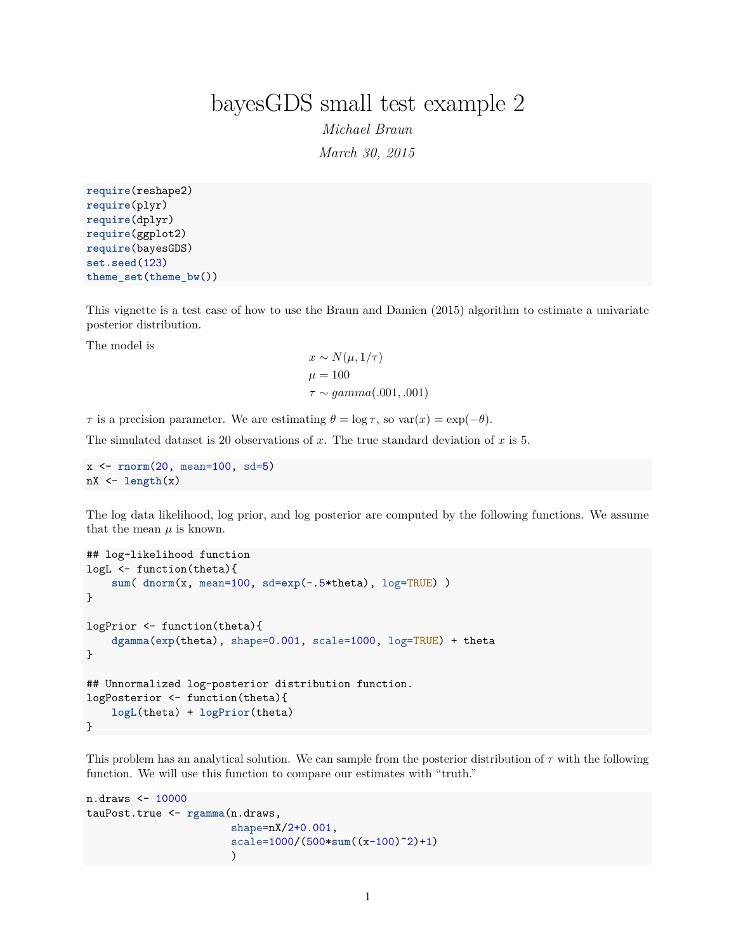## bayesGDS small test example 2

*Michael Braun March 30, 2015*

**require**(reshape2) **require**(plyr) **require**(dplyr) **require**(ggplot2) **require**(bayesGDS) **set.seed**(123) **theme\_set**(**theme\_bw**())

This vignette is a test case of how to use the Braun and Damien (2015) algorithm to estimate a univariate posterior distribution.

The model is

$$
x \sim N(\mu, 1/\tau)
$$
  
\n
$$
\mu = 100
$$
  
\n
$$
\tau \sim gamma(.001, .001)
$$

*τ* is a precision parameter. We are estimating  $\theta = \log \tau$ , so  $var(x) = exp(-\theta)$ .

The simulated dataset is 20 observations of *x*. The true standard deviation of *x* is 5.

```
x <- rnorm(20, mean=100, sd=5)
nX <- length(x)
```
The log data likelihood, log prior, and log posterior are computed by the following functions. We assume that the mean  $\mu$  is known.

```
## log-likelihood function
logL <- function(theta){
   sum( dnorm(x, mean=100, sd=exp(-.5*theta), log=TRUE) )
}
logPrior <- function(theta){
   dgamma(exp(theta), shape=0.001, scale=1000, log=TRUE) + theta
}
## Unnormalized log-posterior distribution function.
logPosterior <- function(theta){
   logL(theta) + logPrior(theta)
}
```
This problem has an analytical solution. We can sample from the posterior distribution of *τ* with the following function. We will use this function to compare our estimates with "truth."

```
n.draws <- 10000
tauPost.true <- rgamma(n.draws,
                        shape=nX/2+0.001,
                        scale=1000/(500*sum((x-100)^2)+1)
                        )
```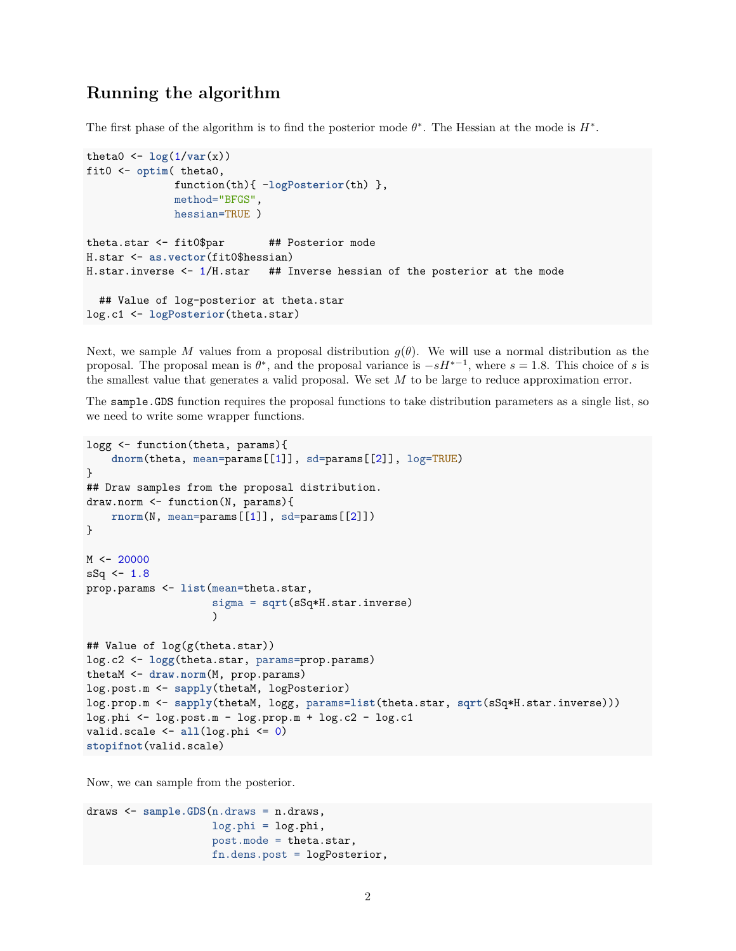## **Running the algorithm**

The first phase of the algorithm is to find the posterior mode  $\theta^*$ . The Hessian at the mode is  $H^*$ .

```
theta0 \leftarrow \log(1/\text{var}(x))fit0 <- optim( theta0,
              function(th){ -logPosterior(th) },
              method="BFGS",
              hessian=TRUE )
theta.star <- fit0$par ## Posterior mode
H.star <- as.vector(fit0$hessian)
H.star.inverse <- 1/H.star ## Inverse hessian of the posterior at the mode
  ## Value of log-posterior at theta.star
log.c1 <- logPosterior(theta.star)
```
Next, we sample *M* values from a proposal distribution  $g(\theta)$ . We will use a normal distribution as the proposal. The proposal mean is  $\theta^*$ , and the proposal variance is  $-sH^{*-1}$ , where  $s = 1.8$ . This choice of *s* is the smallest value that generates a valid proposal. We set *M* to be large to reduce approximation error.

The sample.GDS function requires the proposal functions to take distribution parameters as a single list, so we need to write some wrapper functions.

```
logg <- function(theta, params){
    dnorm(theta, mean=params[[1]], sd=params[[2]], log=TRUE)
}
## Draw samples from the proposal distribution.
draw.norm <- function(N, params){
   rnorm(N, mean=params[[1]], sd=params[[2]])
}
M < -20000sSq \leftarrow 1.8prop.params <- list(mean=theta.star,
                    sigma = sqrt(sSq*H.star.inverse)
                    )
## Value of log(g(theta.star))
log.c2 <- logg(theta.star, params=prop.params)
thetaM <- draw.norm(M, prop.params)
log.post.m <- sapply(thetaM, logPosterior)
log.prop.m <- sapply(thetaM, logg, params=list(theta.star, sqrt(sSq*H.star.inverse)))
log.phi <- log.post.m - log.prop.m + log.c2 - log.c1
valid.scale <- all(log.phi <= 0)
stopifnot(valid.scale)
```
Now, we can sample from the posterior.

```
draws <- sample.GDS(n.draws = n.draws,
                    log.phi = log.phi,
                    post.mode = theta.star,
                    fn.dens.post = logPosterior,
```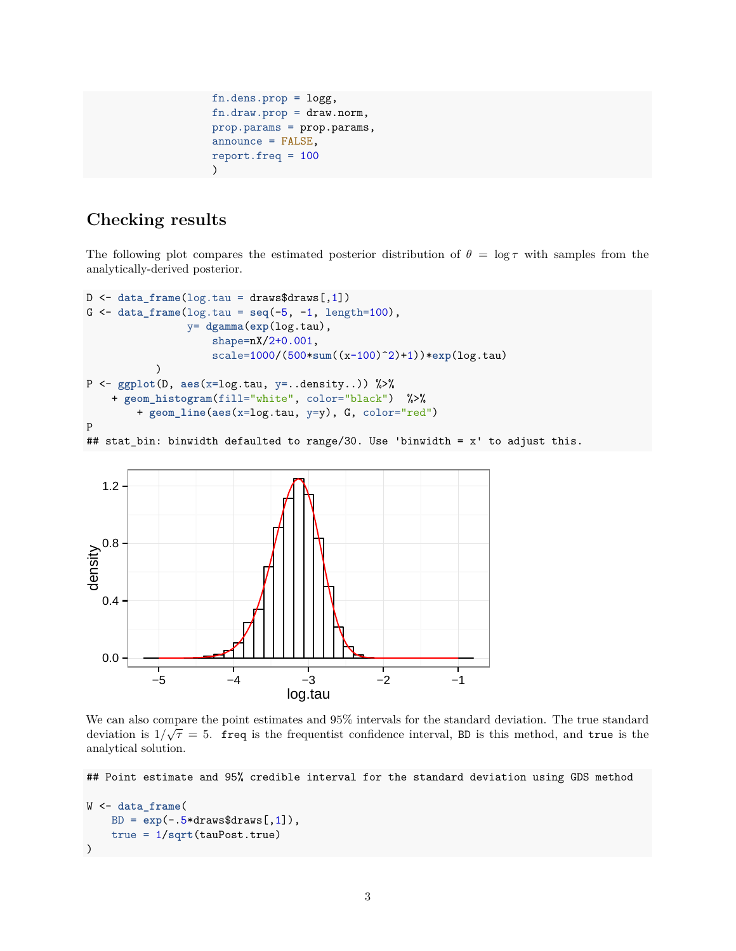```
fn.dens.prop = logg,
fn.draw.prop = draw.norm,
prop.params = prop.params,
announce = FALSE,
report.freq = 100
)
```
## **Checking results**

The following plot compares the estimated posterior distribution of  $\theta = \log \tau$  with samples from the analytically-derived posterior.

```
D <- data_frame(log.tau = draws$draws[,1])
G <- data_frame(log.tau = seq(-5, -1, length=100),
                y= dgamma(exp(log.tau),
                    shape=nX/2+0.001,
                    scale=1000/(500*sum((x-100)^2)+1))*exp(log.tau)
           \lambdaP <- ggplot(D, aes(x=log.tau, y=..density..)) %>%
    + geom_histogram(fill="white", color="black") %>%
        + geom_line(aes(x=log.tau, y=y), G, color="red")
P
```
## stat\_bin: binwidth defaulted to range/30. Use 'binwidth = x' to adjust this.



We can also compare the point estimates and 95% intervals for the standard deviation. The true standard deviation is  $1/\sqrt{\tau} = 5$ . freq is the frequentist confidence interval, BD is this method, and true is the analytical solution.

## Point estimate and 95% credible interval for the standard deviation using GDS method

```
W <- data_frame(
    BD = exp(-.5*draws$draws[, 1]),true = 1/sqrt(tauPost.true)
)
```